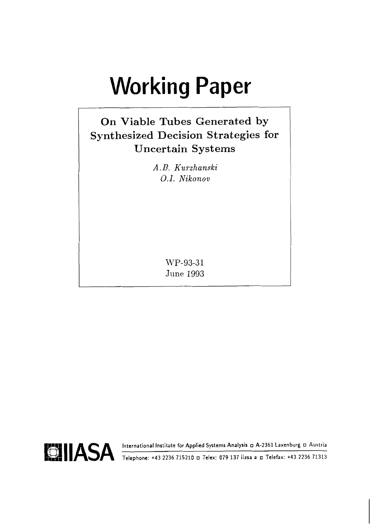# **Working Paper**

# **On Viable Tubes Generated by Synthesized Decision Strategies for Uncertain Systems**

*A. B. Kurzhanski 0.1. Nikonou* 

> **MTP-93-3 1 June 1993**

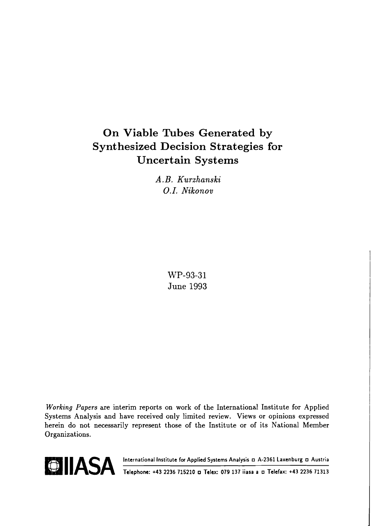# **On Viable Tubes Generated by Synthesized Decision Strategies for Uncertain Systems**

*A. B. Kurzhanski*  **0.1.** *Nikonov* 

> **WP-93-31 June 1993**

**Working Papers are interim reports on work of the International Institute for Applied Systems Analysis and have received only limited review. Views or opinions expressed herein do not necessarily represent those of the Institute or of its National Member Organizations.** 

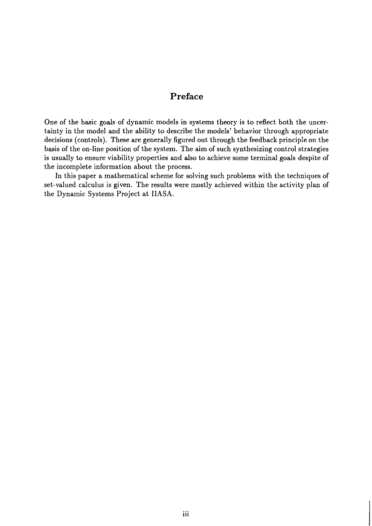#### **Preface**

One of the basic goals of dynamic models in systems theory is to reflect both the uncertainty in the model and the ability to describe the models' behavior through appropriate decisions (controls). These are generally figured out through the feedback principle on the basis of the on-line position of the system. The aim of such synthesizing control strategies is usually to ensure viability properties and also to achieve some terminal goals despite of the incomplete information about the process.

In this paper a mathematical scheme for solving such problems with the techniques of set-valued calculus is given. The results were mostly achieved within the activity plan of the Dynamic Systems Project at IIASA.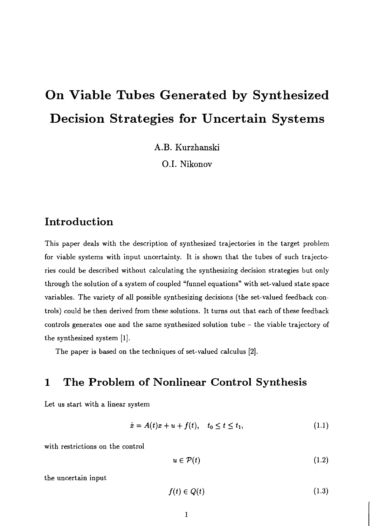# **On Viable Tubes Generated by Synthesized Decision Strategies for Uncertain Systems**

**A.B. Kurzhanski** 

0.1. **Nikonov** 

# **Introduction**

This paper deals with the description of synthesized trajectories in the target problem for viable systems with input uncertainty. It is shown that the tubes of such trajectories could be described without calculating the synthesizing decision strategies but only through the solution of a system of coupled "funnel equations" with set-valued state space variables. The variety of all possible synthesizing decisions (the set-valued feedback controls) could be then derived from these solutions. It turns out that each of these feedback controls generates one and the same synthesized solution tube - the viable trajectory of the synthesized system [I.].

The paper is based on the techniques of set-valued calculus **[2].** 

# **1 The Problem of Nonlinear Control Synthesis**

Let us start with a linear system

$$
\dot{x} = A(t)x + u + f(t), \quad t_0 \le t \le t_1,
$$
\n(1.1)

with restrictions on the control

 $u \in \mathcal{P}(t)$  $(1.2)$ 

the uncertain input

$$
f(t) \in Q(t) \tag{1.3}
$$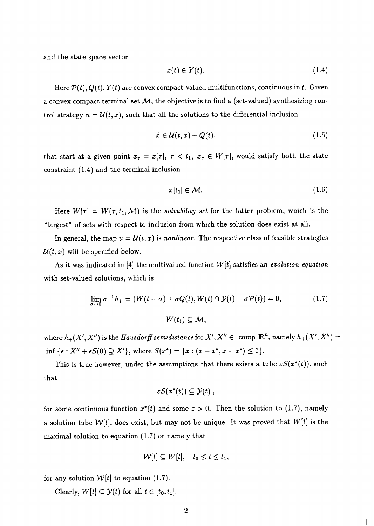and the state space vector

$$
x(t) \in Y(t). \tag{1.4}
$$

Here  $\mathcal{P}(t)$ ,  $Q(t)$ ,  $Y(t)$  are convex compact-valued multifunctions, continuous in t. Given a convex compact terminal set  $M$ , the objective is to find a (set-valued) synthesizing control strategy  $u = U(t, x)$ , such that all the solutions to the differential inclusion

$$
\dot{x} \in \mathcal{U}(t, x) + Q(t),\tag{1.5}
$$

that start at a given point  $x_{\tau} = x[\tau], \tau < t_1, x_{\tau} \in W[\tau]$ , would satisfy both the state constraint (1.4) and the terminal inclusion

$$
x[t_1] \in \mathcal{M}.\tag{1.6}
$$

Here  $W[\tau] = W(\tau, t_1, \mathcal{M})$  is the solvability set for the latter problem, which is the "largest" of sets with respect to inclusion from which the solution does exist at all.

In general, the map  $u = \mathcal{U}(t, x)$  is nonlinear. The respective class of feasible strategies  $\mathcal{U}(t, x)$  will be specified below.

As it was indicated in [4] the multivalued function  $W[t]$  satisfies an evolution equation with set-valued solutions, which is

$$
\lim_{\sigma \to 0} \sigma^{-1} h_+ = (W(t - \sigma) + \sigma Q(t), W(t) \cap \mathcal{Y}(t) - \sigma \mathcal{P}(t)) = 0,
$$
\n
$$
W(t_1) \subseteq \mathcal{M},
$$
\n(1.7)

where  $h_+(X', X'')$  is the Hausdorff semidistance for  $X', X'' \in \text{ comp }\mathbb{R}^n$ , namely  $h_+(X', X'') =$ inf { $\epsilon$  :  $X'' + \epsilon S(0) \supseteq X'$ }, where  $S(x^*) = \{x : (x - x^*, x - x^*) \leq 1\}.$ 

This is true however, under the assumptions that there exists a tube  $\epsilon S(x^*(t))$ , such that

$$
\varepsilon S(x^*(t))\subseteq \mathcal{Y}(t) ,
$$

for some continuous function  $x^*(t)$  and some  $\varepsilon > 0$ . Then the solution to (1.7), namely a solution tube  $\mathcal{W}[t]$ , does exist, but may not be unique. It was proved that  $W[t]$  is the maximal solution to equation (1.7) or namely that

$$
\mathcal{W}[t] \subseteq W[t], \quad t_0 \leq t \leq t_1,
$$

for any solution  $W[t]$  to equation (1.7).

Clearly,  $W[t] \subseteq \mathcal{Y}(t)$  for all  $t \in [t_0, t_1]$ .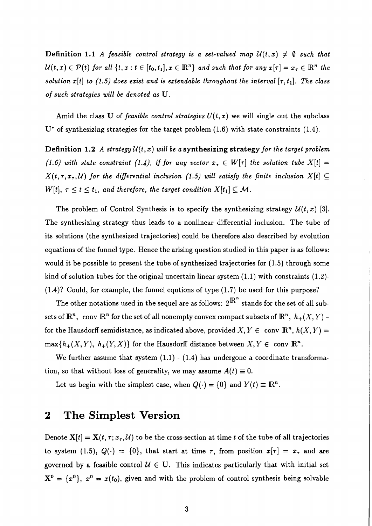**Definition 1.1** A feasible control strategy is a set-valued map  $\mathcal{U}(t,x) \neq \emptyset$  such that  $\mathcal{U}(t,x) \in \mathcal{P}(t)$  for all  $\{t, x : t \in [t_0, t_1], x \in \mathbb{R}^n\}$  and such that for any  $x[\tau] = x_{\tau} \in \mathbb{R}^n$  the solution x[t] to (1.5) does exist and is extendable throughout the interval  $[\tau, t_1]$ . The class of such strategies will be denoted as U.

Amid the class U of *feasible control strategies*  $U(t, x)$  we will single out the subclass  $U^*$  of synthesizing strategies for the target problem  $(1.6)$  with state constraints  $(1.4)$ .

**Definition 1.2** A strategy  $\mathcal{U}(t, x)$  will be a **synthesizing strategy** for the target problem (1.6) with state constraint (1.4), if for any vector  $x_{\tau} \in W[\tau]$  the solution tube  $X[t] =$  $X(t, \tau, x_{\tau}, \mathcal{U})$  for the differential inclusion (1.5) will satisfy the finite inclusion  $X[t] \subseteq$  $W[t], \tau \leq t \leq t_1$ , and therefore, the target condition  $X[t_1] \subseteq \mathcal{M}$ .

The problem of Control Synthesis is to specify the synthesizing strategy  $\mathcal{U}(t, x)$  [3]. The synthesizing strategy thus leads to a nonlinear differential inclusion. The tube of its solutions (the synthesized trajectories) could be therefore also described by evolution equations of the funnel type. Hence the arising question studied in this paper is as follows: would it be possible to present the tube of synthesized trajectories for  $(1.5)$  through some kind of solution tubes for the original uncertain linear system  $(1.1)$  with constraints  $(1.2)$ -(1.4)? Could, for example, the funnel equtions of type (1.7) be used for this purpose?

The other notations used in the sequel are as follows:  $2^{\mathbb{R}^n}$  stands for the set of all subsets of  $\mathbb{R}^n$ , conv  $\mathbb{R}^n$  for the set of all nonempty convex compact subsets of  $\mathbb{R}^n$ ,  $h_+(X, Y)$  for the Hausdorff semidistance, as indicated above, provided  $X, Y \in \text{conv } \mathbb{R}^n$ ,  $h(X, Y) =$  $max\{h_+(X, Y), h_+(Y, X)\}\$  for the Hausdorff distance between  $X, Y \in \text{conv } \mathbb{R}^n$ .

We further assume that system  $(1.1)$  -  $(1.4)$  has undergone a coordinate transformation, so that without loss of generality, we may assume  $A(t) \equiv 0$ .

Let us begin with the simplest case, when  $Q(\cdot) = \{0\}$  and  $Y(t) \equiv \mathbb{R}^n$ .

### **2 The Simplest Version**

Denote  $\mathbf{X}[t] = \mathbf{X}(t, \tau; x_{\tau}, \mathcal{U})$  to be the cross-section at time t of the tube of all trajectories to system (1.5),  $Q(\cdot) = \{0\}$ , that start at time  $\tau$ , from position  $x[\tau] = x_{\tau}$  and are governed by a feasible control  $U \in U$ . This indicates particularly that with initial set  $X^0 = \{x^0\}, x^0 = x(t_0)$ , given and with the problem of control synthesis being solvable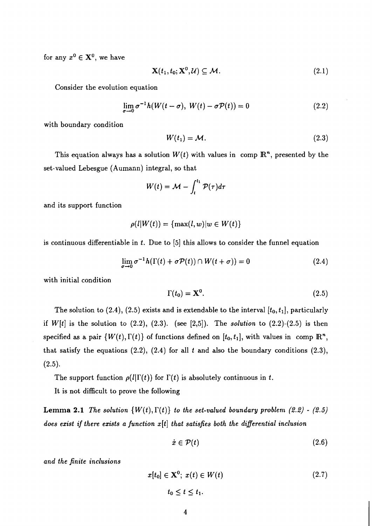for any  $x^0 \in \mathbf{X}^0$ , we have

$$
\mathbf{X}(t_1, t_0; \mathbf{X}^0, \mathcal{U}) \subseteq \mathcal{M}.
$$
 (2.1)

Consider the evolution equation

$$
\lim_{\sigma \to 0} \sigma^{-1} h(W(t - \sigma), W(t) - \sigma \mathcal{P}(t)) = 0
$$
\n(2.2)

with boundary condition

$$
W(t_1) = \mathcal{M}.\tag{2.3}
$$

This equation always has a solution  $W(t)$  with values in comp  $\mathbb{R}^n$ , presented by the set-valued Lebesgue (Aumann) integral, so that

$$
W(t) = \mathcal{M} - \int_t^{t_1} \mathcal{P}(\tau) d\tau
$$

and its support function

$$
\rho(l|W(t))=\{\max(l,w)|w\in W(t)\}
$$

is continuous differentiable in *t.* Due to *[5]* this allows to consider the funnel equation

$$
\lim_{\sigma \to 0} \sigma^{-1} h(\Gamma(t) + \sigma \mathcal{P}(t)) \cap W(t + \sigma)) = 0 \tag{2.4}
$$

with initial condition

$$
\Gamma(t_0) = \mathbf{X}^0. \tag{2.5}
$$

The solution to  $(2.4)$ ,  $(2.5)$  exists and is extendable to the interval  $[t_0, t_1]$ , particularly if *W[t]* is the solution to *(2.2), (2.3).* (see *[2,5]).* The *solution* to *(2.2)-(2.5)* is then specified as a pair  $\{W(t), \Gamma(t)\}$  of functions defined on  $[t_0, t_1]$ , with values in comp  $\mathbb{R}^n$ , that satisfy the equations *(2.2), (2.4)* for all *t* and also the boundary conditions *(2.3), (2.5).* 

The support function  $\rho(l|\Gamma(t))$  for  $\Gamma(t)$  is absolutely continuous in t.

It is not difficult to prove the following

**Lemma 2.1** The solution  $\{W(t),\Gamma(t)\}$  to the set-valued boundary problem (2.2) - (2.5) *does ezist if there ezists a function x[t] that satisfies both the differential inclusion* 

$$
\dot{x} \in \mathcal{P}(t) \tag{2.6}
$$

*and the finite inclusions* 

$$
x[t_0] \in \mathbf{X}^0; \ x(t) \in W(t) \tag{2.7}
$$

$$
t_0 \le t \le t_1.
$$

 $\overline{\mathbf{4}}$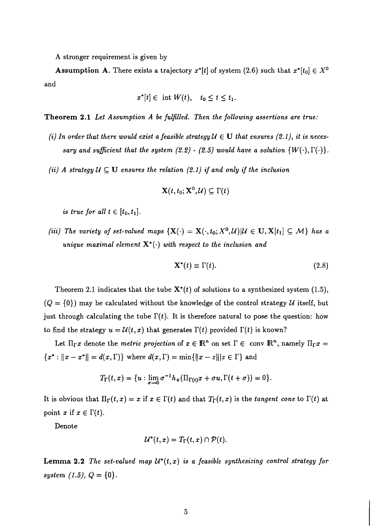**A** stronger requirement is given by

**Assumption A.** There exists a trajectory  $x^*[t]$  of system (2.6) such that  $x^*[t_0] \in X^0$ and

$$
x^*[t] \in \text{ int } W(t), \quad t_0 \leq t \leq t_1.
$$

**Theorem 2.1** *Let Assumption A be fulfilled. Then the following assertions are true:* 

- *(i) In order that there would exist a feasible strategy*  $U \in U$  *that ensures (2.1), it is necessary and sufficient that the system*  $(2.2)$  *-*  $(2.5)$  *would have a solution*  $\{W(\cdot), \Gamma(\cdot)\}.$
- *(ii)* A strategy  $U \subseteq U$  ensures the relation (2.1) if and only if the inclusion

$$
\mathbf{X}(t,t_0;\mathbf{X}^0,\mathcal{U})\subseteq\Gamma(t)
$$

*is true for all t*  $\in$   $[t_0, t_1]$ .

*(iii) The variety of set-valued maps*  $\{X(\cdot) = X(\cdot, t_0; X^0, \mathcal{U}) | \mathcal{U} \in U, X[t_1] \subseteq \mathcal{M}\}$  has a *unique maximal element*  $X^*(\cdot)$  *with respect to the inclusion and* 

$$
\mathbf{X}^*(t) \equiv \Gamma(t). \tag{2.8}
$$

Theorem *2.1* indicates that the tube *X\*(t)* of solutions to a synthesized system *(1.5),*   $(Q = \{0\})$  may be calculated without the knowledge of the control strategy *U* itself, but just through calculating the tube  $\Gamma(t)$ . It is therefore natural to pose the question: how to find the strategy  $u = U(t, x)$  that generates  $\Gamma(t)$  provided  $\Gamma(t)$  is known?

Let  $\Pi_{\Gamma}x$  denote the *metric projection* of  $x \in \mathbb{R}^n$  on set  $\Gamma \in \text{ conv } \mathbb{R}^n$ , namely  $\Pi_{\Gamma}x =$  ${x^* : ||x - x^*|| = d(x, \Gamma)}$  where  $d(x, \Gamma) = \min{||x - z|| | z \in \Gamma}$  and

$$
T_{\Gamma}(t,x)=\{u:\lim_{\sigma\to 0}\sigma^{-1}h_{+}(\Pi_{\Gamma(t)}x+\sigma u,\Gamma(t+\sigma))=0\}.
$$

It is obvious that  $\Pi_{\Gamma}(t,x) = x$  if  $x \in \Gamma(t)$  and that  $T_{\Gamma}(t,x)$  is the *tangent cone* to  $\Gamma(t)$  at point *x* if  $x \in \Gamma(t)$ .

Denote

$$
\mathcal{U}^*(t,x)=T_{\Gamma}(t,x)\cap \mathcal{P}(t).
$$

**Lemma 2.2** *The set-valued map*  $\mathcal{U}^*(t,x)$  *is a feasible synthesizing control strategy for*  $system (1.5), Q = \{0\}.$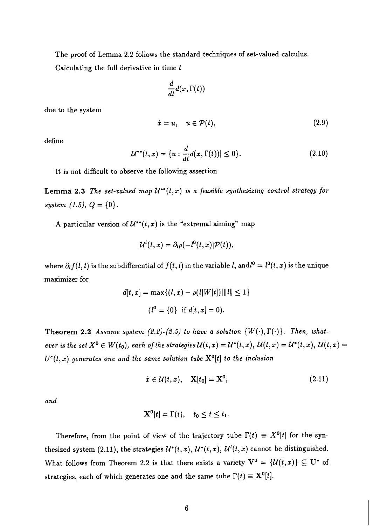The proof of Lemma *2.2* follows the standard techniques of set-valued calculus.

Calculating the full derivative in time *t* 

$$
\frac{d}{dt}d(x,\Gamma(t))
$$

due to the system

$$
\dot{x} = u, \quad u \in \mathcal{P}(t), \tag{2.9}
$$

define

$$
\mathcal{U}^{**}(t,x) = \{ u : \frac{d}{dt} d(x,\Gamma(t)) | \le 0 \}. \tag{2.10}
$$

It is not difficult to observe the following assertion

**Lemma 2.3** *The set-valued map*  $\mathcal{U}^{**}(t,x)$  *is a feasible synthesizing control strategy for system*  $(1.5), Q = \{0\}.$ 

A particular version of  $\mathcal{U}^{**}(t,x)$  is the "extremal aiming" map

$$
\mathcal{U}^l(t,x)=\partial_l\rho(-l^0(t,x)|\mathcal{P}(t)),
$$

where  $\partial_l f(l,t)$  is the subdifferential of  $f(t,l)$  in the variable *l*, and  $l^0 = l^0(t,x)$  is the unique maximizer for

$$
d[t, x] = \max\{(l, x) - \rho(l|W[t])||l|| \le 1\}
$$
  

$$
(l^0 = \{0\} \text{ if } d[t, x] = 0).
$$

**Theorem 2.2** *Assume system (2.2)-(2.5) to have a solution*  $\{W(\cdot), \Gamma(\cdot)\}$ . Then, what*ever is the set*  $X^0 \in W(t_0)$ , each of the strategies  $\mathcal{U}(t,x) = \mathcal{U}^*(t,x)$ ,  $\mathcal{U}(t,x) = \mathcal{U}^*(t,x)$ ,  $\mathcal{U}(t,x) =$  $U^e(t, x)$  generates one and the same solution tube  $\mathbf{X}^0[t]$  to the inclusion

$$
\dot{x} \in \mathcal{U}(t, x), \quad \mathbf{X}[t_0] = \mathbf{X}^0, \tag{2.11}
$$

*and* 

$$
\mathbf{X}^0[t] = \Gamma(t), \quad t_0 \leq t \leq t_1.
$$

Therefore, from the point of view of the trajectory tube  $\Gamma(t) \equiv X^0[t]$  for the synthesized system (2.11), the strategies  $\mathcal{U}^*(t,x)$ ,  $\mathcal{U}^*(t,x)$ ,  $\mathcal{U}^l(t,x)$  cannot be distinguished. What follows from Theorem 2.2 is that there exists a variety  $V^0 = \{U(t,x)\} \subseteq U^*$  of strategies, each of which generates one and the same tube  $\Gamma(t) \equiv \mathbf{X}^0[t]$ .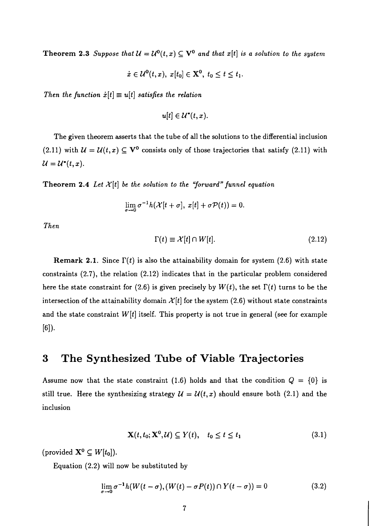**Theorem 2.3** *Suppose that*  $\mathcal{U} = \mathcal{U}^0(t, x) \subseteq \mathbf{V}^0$  and that  $x[t]$  is a solution to the system

$$
\dot{x}\in\mathcal{U}^0(t,x),\ x[t_0]\in\mathbf{X}^0,\ t_0\leq t\leq t_1.
$$

Then the function  $\dot{x}[t] \equiv u[t]$  satisfies the relation

$$
u[t] \in \mathcal{U}^*(t,x).
$$

The given theorem asserts that the tube of all the solutions to the differential inclusion (2.11) with  $\mathcal{U} = \mathcal{U}(t, x) \subseteq \mathbf{V}^0$  consists only of those trajectories that satisfy (2.11) with  $\mathcal{U}=\mathcal{U}^{*}(t,x).$ 

**Theorem 2.4** Let  $\mathcal{X}[t]$  be the solution to the "forward" funnel equation

$$
\lim_{\sigma\to 0}\sigma^{-1}h(\mathcal{X}[t+\sigma], x[t]+\sigma\mathcal{P}(t))=0.
$$

*Then* 

$$
\Gamma(t) \equiv \mathcal{X}[t] \cap W[t]. \tag{2.12}
$$

**Remark 2.1.** Since  $\Gamma(t)$  is also the attainability domain for system (2.6) with state constraints *(2.7),* the relation *(2.12)* indicates that in the particular problem considered here the state constraint for (2.6) is given precisely by  $W(t)$ , the set  $\Gamma(t)$  turns to be the intersection of the attainability domain  $\mathcal{X}[t]$  for the system (2.6) without state constraints and the state constraint  $W[t]$  itself. This property is not true in general (see for example *[GI).* 

## **3 The Synthesized Tube of Viable Trajectories**

Assume now that the state constraint (1.6) holds and that the condition  $Q = \{0\}$  is still true. Here the synthesizing strategy  $\mathcal{U} = \mathcal{U}(t, x)$  should ensure both (2.1) and the inclusion

$$
\mathbf{X}(t, t_0; \mathbf{X}^0, \mathcal{U}) \subseteq Y(t), \quad t_0 \le t \le t_1 \tag{3.1}
$$

(provided  $\mathbf{X}^0 \subseteq W[t_0]$ ).

Equation *(2.2)* will now be substituted by

$$
\lim_{\sigma \to 0} \sigma^{-1} h(W(t - \sigma), (W(t) - \sigma P(t)) \cap Y(t - \sigma)) = 0 \qquad (3.2)
$$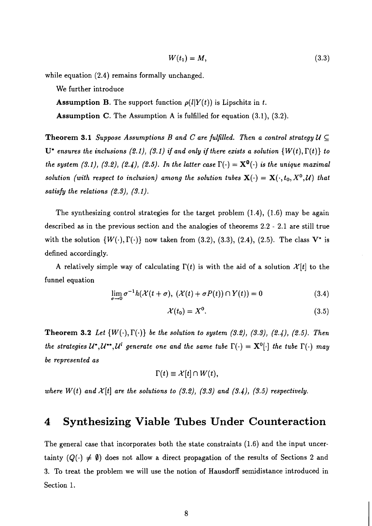$$
W(t_1) = M,\t(3.3)
$$

while equation *(2.4)* remains formally unchanged.

We further introduce

**Assumption B.** The support function  $\rho(l|Y(t))$  is Lipschitz in t.

**Assumption** C. The Assumption A is fulfilled for equation *(3.1), (3.2).* 

**Theorem 3.1** *Suppose Assumptions B and C are fulfilled. Then a control strategy*  $U \subseteq$  $U^*$  ensures the inclusions (2.1), (3.1) if and only if there exists a solution  $\{W(t), \Gamma(t)\}$  to *the system (3.1), (3.2), (2.4), (2.5). In the latter case*  $\Gamma(\cdot) = \mathbf{X}^0(\cdot)$  *is the unique maximal solution (with respect to inclusion) among the solution tubes*  $\mathbf{X}(\cdot) = \mathbf{X}(\cdot,t_0,X^0,\mathcal{U})$  that *satisfy the relations (2.3)) (3.1).* 

The synthesizing control strategies for the target problem *(1.4), (1.6)* may be again described as in the previous section and the analogies of theorems *2.2* - *2.1* are still true with the solution  $\{W(\cdot), \Gamma(\cdot)\}$  now taken from (3.2), (3.3), (2.4), (2.5). The class  $V^*$  is defined accordingly.

A relatively simple way of calculating  $\Gamma(t)$  is with the aid of a solution  $\mathcal{X}[t]$  to the funnel equation

$$
\lim_{\sigma \to 0} \sigma^{-1} h(\mathcal{X}(t+\sigma), \ (\mathcal{X}(t)+\sigma P(t)) \cap Y(t)) = 0 \tag{3.4}
$$

$$
\mathcal{X}(t_0) = X^0. \tag{3.5}
$$

**Theorem 3.2** Let  $\{W(\cdot),\Gamma(\cdot)\}$  be the solution to system  $(3.2)$ ,  $(3.3)$ ,  $(2.4)$ ,  $(2.5)$ . Then *the strategies U\*, U\*\*, U' generate one and the same tube*  $\Gamma(\cdot) = \mathbf{X}^0[\cdot]$  *the tube*  $\Gamma(\cdot)$  *may be represented as* 

$$
\Gamma(t) \equiv \mathcal{X}[t] \cap W(t),
$$

where  $W(t)$  and  $\mathcal{X}[t]$  are the solutions to (3.2), (3.3) and (3.4), (3.5) respectively.

#### **4 Synthesizing Viable Tubes Under Counteraction**

The general case that incorporates both the state constraints *(1.6)* and the input uncertainty  $(Q(\cdot) \neq \emptyset)$  does not allow a direct propagation of the results of Sections 2 and *3.* To treat the problem we will use the notion of Hausdorff semidistance introduced in Section *1.*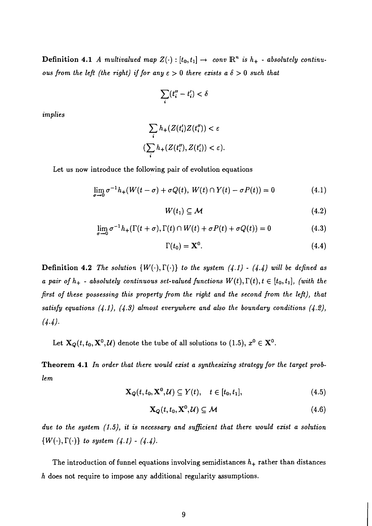Definition 4.1 A *multivalued map*  $Z(\cdot) : [t_0, t_1] \rightarrow conv \mathbb{R}^n$  *is*  $h_+$  - *absolutely continuous from the left (the right) if for any*  $\epsilon > 0$  *there exists a*  $\delta > 0$  *such that* 

$$
\sum_i (t''_i - t'_i) < \delta
$$

*implies* 

$$
\sum_{i} h_{+}(Z(t'_{i})Z(t''_{i})) < \varepsilon
$$

$$
(\sum_{i} h_{+}(Z(t''_{i}), Z(t'_{i})) < \varepsilon)
$$

Let us now introduce the following pair of evolution equations

$$
\lim_{\sigma \to 0} \sigma^{-1} h_+(W(t-\sigma) + \sigma Q(t), W(t) \cap Y(t) - \sigma P(t)) = 0
$$
\n(4.1)

$$
W(t_1) \subseteq \mathcal{M} \tag{4.2}
$$

$$
\lim_{\sigma \to 0} \sigma^{-1} h_+(\Gamma(t+\sigma), \Gamma(t) \cap W(t) + \sigma P(t) + \sigma Q(t)) = 0 \tag{4.3}
$$

$$
\Gamma(t_0) = \mathbf{X}^0. \tag{4.4}
$$

Definition 4.2 The solution  $\{W(\cdot),\Gamma(\cdot)\}$  to the system  $(4.1)$  -  $(4.4)$  will be defined as *a pair of*  $h_+$  *- absolutely continuous set-valued functions*  $W(t), \Gamma(t), t \in [t_0, t_1]$ , (with the *first of these possessing this property from the right and the second from the left), that satisfy equations (4.1), (4.3) almost everywhere and also the boundary conditions (4.2), (4.4).* 

Let  $\mathbf{X}_Q(t, t_0, \mathbf{X}^0, \mathcal{U})$  denote the tube of all solutions to (1.5),  $x^0 \in \mathbf{X}^0$ .

Theorem 4.1 *In order that there would ezist a synthesizing strategy for the target problem* 

$$
\mathbf{X}_{\mathbf{Q}}(t, t_{0}, \mathbf{X}^{0}, \mathcal{U}) \subseteq Y(t), \quad t \in [t_{0}, t_{1}], \tag{4.5}
$$

$$
\mathbf{X}_Q(t,t_0,\mathbf{X}^0,\mathcal{U})\subseteq\mathcal{M}
$$
 (4.6)

*due to the system (1.5), it is necessary and suficient that there would ezist a solution {W(-), r(.)) to system (4.1)* - *(4.4).* 

The introduction of funnel equations involving semidistances *h+* rather than distances *h* does not require to impose any additional regularity assumptions.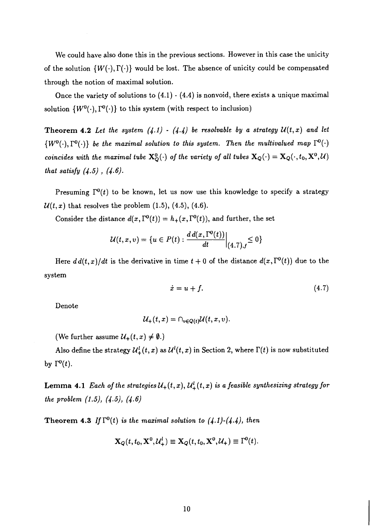We could have also done this in the previous sections. However in this case the unicity of the solution  $\{W(\cdot), \Gamma(\cdot)\}$  would be lost. The absence of unicity could be compensated through the notion of maximal solution.

Once the variety of solutions to  $(4.1)$  -  $(4.4)$  is nonvoid, there exists a unique maximal solution  $\{W^0(\cdot), \Gamma^0(\cdot)\}\)$  to this system (with respect to inclusion)

**Theorem 4.2** Let the system  $(4.1)$  -  $(4.4)$  be resolvable by a strategy  $\mathcal{U}(t,x)$  and let  $\{W^0(\cdot),\Gamma^0(\cdot)\}$  be the maximal solution to this system. Then the multivalued map  $\Gamma^0(\cdot)$ coincides with the maximal tube  $X_Q^0(\cdot)$  of the variety of all tubes  $X_Q(\cdot) = X_Q(\cdot, t_0, X^0, U)$ that satisfy  $(4.5)$ ,  $(4.6)$ .

Presuming  $\Gamma^{0}(t)$  to be known, let us now use this knowledge to specify a strategy  $\mathcal{U}(t, x)$  that resolves the problem  $(1.5)$ ,  $(4.5)$ ,  $(4.6)$ .

Consider the distance  $d(x, \Gamma^0(t)) = h_+(x, \Gamma^0(t))$ , and further, the set

$$
\mathcal{U}(t,x,v) = \{ u \in P(t) : \frac{d d(x,\Gamma^0(t))}{dt} \Big|_{(4,7),f} \leq 0 \}
$$

Here  $d d(t, x)/dt$  is the derivative in time  $t + 0$  of the distance  $d(x, \Gamma^0(t))$  due to the system

$$
\dot{x} = u + f. \tag{4.7}
$$

Denote

$$
\mathcal{U}_+(t,x)=\cap_{v\in Q(t)}\mathcal{U}(t,x,v).
$$

(We further assume  $\mathcal{U}_+(t,x) \neq \emptyset$ .)

Also define the strategy  $\mathcal{U}_+^l(t, x)$  as  $\mathcal{U}_-^l(t, x)$  in Section 2, where  $\Gamma(t)$  is now substituted by  $\Gamma^{0}(t)$ .

**Lemma 4.1** Each of the strategies  $\mathcal{U}_+(t, x)$ ,  $\mathcal{U}_+^l(t, x)$  is a feasible synthesizing strategy for the problem (1.5), (4.5), (4.6)

**Theorem 4.3** If  $\Gamma^{0}(t)$  is the maximal solution to  $(4.1)-(4.4)$ , then

$$
\mathbf{X}_Q(t,t_0,\mathbf{X}^0,\mathcal{U}_+^l) \equiv \mathbf{X}_Q(t,t_0,\mathbf{X}^0,\mathcal{U}_+) \equiv \Gamma^0(t).
$$